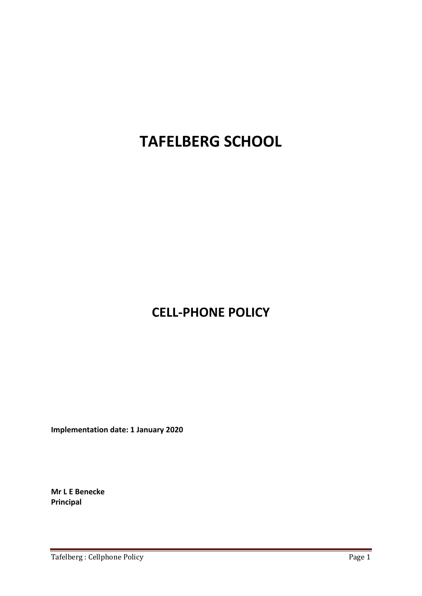# **TAFELBERG SCHOOL**

# **CELL‐PHONE POLICY**

**Implementation date: 1 January 2020**

**Mr L E Benecke Principal**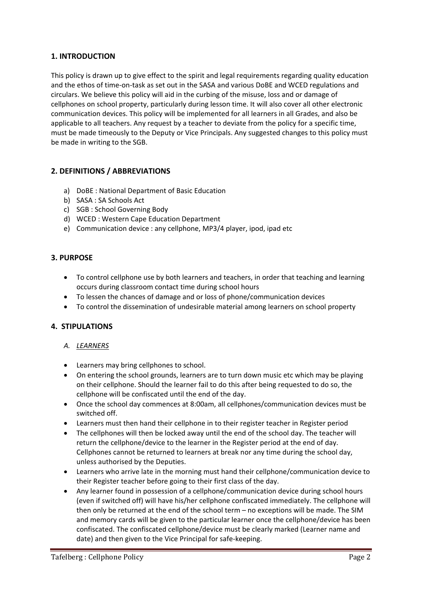## **1. INTRODUCTION**

This policy is drawn up to give effect to the spirit and legal requirements regarding quality education and the ethos of time‐on‐task as set out in the SASA and various DoBE and WCED regulations and circulars. We believe this policy will aid in the curbing of the misuse, loss and or damage of cellphones on school property, particularly during lesson time. It will also cover all other electronic communication devices. This policy will be implemented for all learners in all Grades, and also be applicable to all teachers. Any request by a teacher to deviate from the policy for a specific time, must be made timeously to the Deputy or Vice Principals. Any suggested changes to this policy must be made in writing to the SGB.

#### **2. DEFINITIONS / ABBREVIATIONS**

- a) DoBE : National Department of Basic Education
- b) SASA : SA Schools Act
- c) SGB : School Governing Body
- d) WCED : Western Cape Education Department
- e) Communication device : any cellphone, MP3/4 player, ipod, ipad etc

#### **3. PURPOSE**

- To control cellphone use by both learners and teachers, in order that teaching and learning occurs during classroom contact time during school hours
- To lessen the chances of damage and or loss of phone/communication devices
- To control the dissemination of undesirable material among learners on school property

#### **4. STIPULATIONS**

- *A. LEARNERS*
- Learners may bring cellphones to school.
- On entering the school grounds, learners are to turn down music etc which may be playing on their cellphone. Should the learner fail to do this after being requested to do so, the cellphone will be confiscated until the end of the day.
- Once the school day commences at 8:00am, all cellphones/communication devices must be switched off.
- Learners must then hand their cellphone in to their register teacher in Register period
- The cellphones will then be locked away until the end of the school day. The teacher will return the cellphone/device to the learner in the Register period at the end of day. Cellphones cannot be returned to learners at break nor any time during the school day, unless authorised by the Deputies.
- Learners who arrive late in the morning must hand their cellphone/communication device to their Register teacher before going to their first class of the day.
- Any learner found in possession of a cellphone/communication device during school hours (even if switched off) will have his/her cellphone confiscated immediately. The cellphone will then only be returned at the end of the school term – no exceptions will be made. The SIM and memory cards will be given to the particular learner once the cellphone/device has been confiscated. The confiscated cellphone/device must be clearly marked (Learner name and date) and then given to the Vice Principal for safe‐keeping.